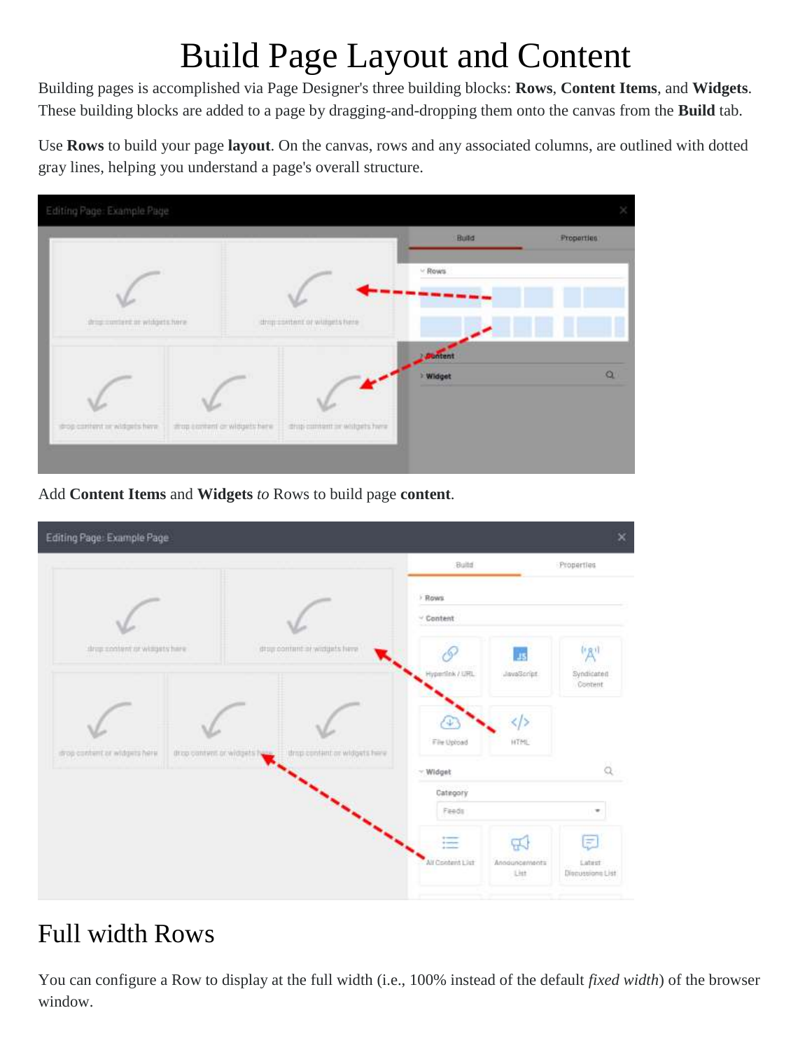# Build Page Layout and Content

Building pages is accomplished via Page Designer's three building blocks: **Rows**, **Content Items**, and **Widgets**. These building blocks are added to a page by dragging-and-dropping them onto the canvas from the **Build** tab.

Use **Rows** to build your page **layout**. On the canvas, rows and any associated columns, are outlined with dotted gray lines, helping you understand a page's overall structure.



Add **Content Items** and **Widgets** *to* Rows to build page **content**.



#### Full width Rows

You can configure a Row to display at the full width (i.e., 100% instead of the default *fixed width*) of the browser window.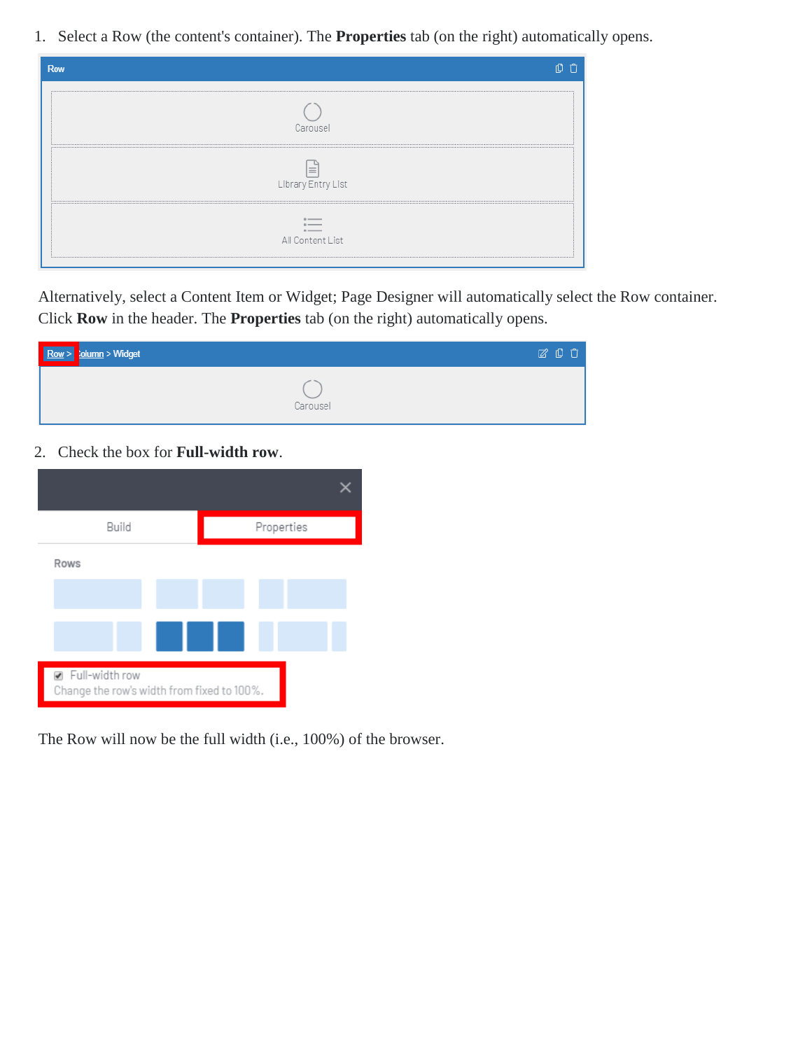1. Select a Row (the content's container). The **Properties** tab (on the right) automatically opens.

| Row                                                     | -Ĥ |
|---------------------------------------------------------|----|
| J.<br>Carousel                                          |    |
| $\equiv$<br>Library Entry List                          |    |
| $\alpha$ -<br>$\stackrel{\cdot}{=}$<br>All Content List |    |

Alternatively, select a Content Item or Widget; Page Designer will automatically select the Row container. Click **Row** in the header. The **Properties** tab (on the right) automatically opens.

| Row > column > Widget | $\boxtimes$ 0 0 |
|-----------------------|-----------------|
|                       | Carousel        |

2. Check the box for **Full-width row**.



The Row will now be the full width (i.e., 100%) of the browser.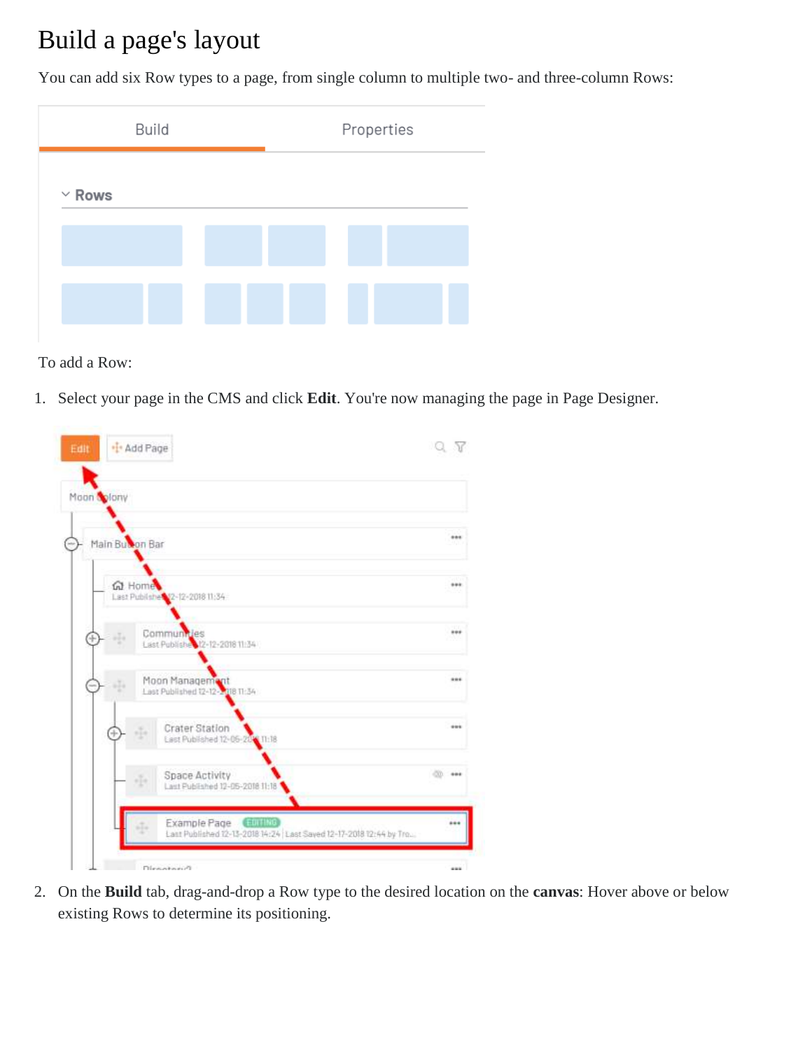## Build a page's layout

You can add six Row types to a page, from single column to multiple two- and three-column Rows:



To add a Row:

1. Select your page in the CMS and click **Edit**. You're now managing the page in Page Designer.



2. On the **Build** tab, drag-and-drop a Row type to the desired location on the **canvas**: Hover above or below existing Rows to determine its positioning.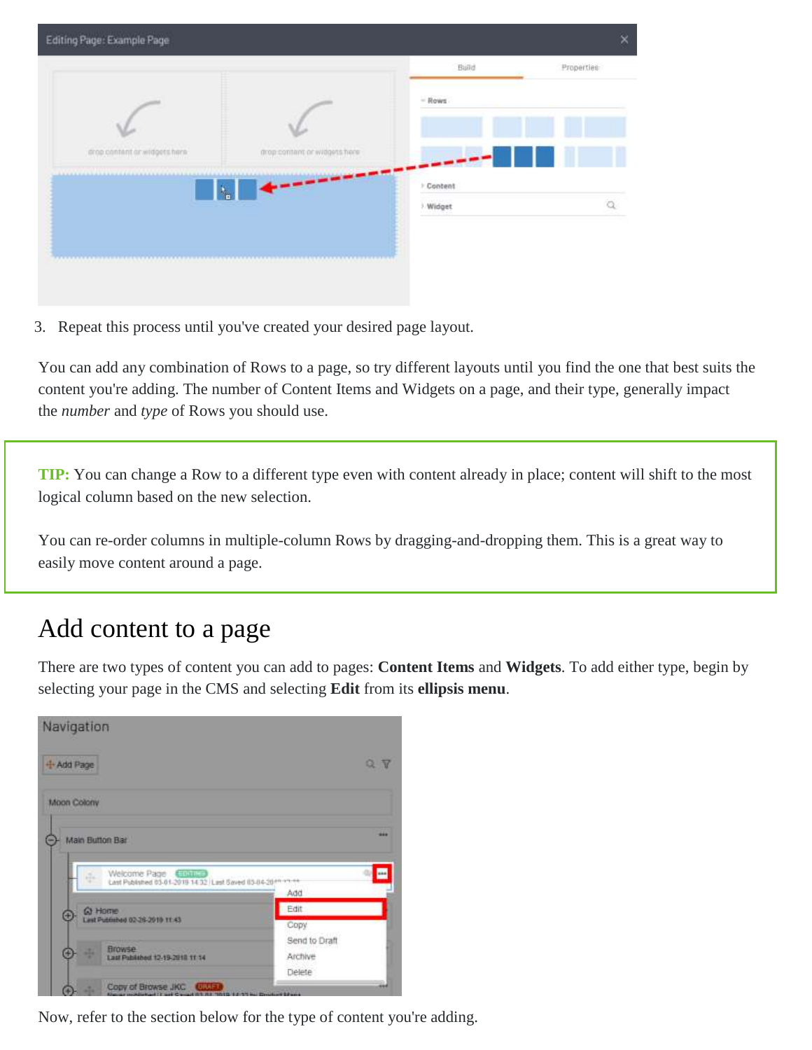|                              |                                                 | Build    | Properties- |
|------------------------------|-------------------------------------------------|----------|-------------|
|                              |                                                 | $=$ Rows |             |
| mop contant or widgets here. | <b>STEERING</b><br>drop contant or widgets here |          |             |
|                              |                                                 | Content  |             |
|                              |                                                 | Widget   |             |

3. Repeat this process until you've created your desired page layout.

You can add any combination of Rows to a page, so try different layouts until you find the one that best suits the content you're adding. The number of Content Items and Widgets on a page, and their type, generally impact the *number* and *type* of Rows you should use.

**TIP:** You can change a Row to a different type even with content already in place; content will shift to the most logical column based on the new selection.

You can re-order columns in multiple-column Rows by dragging-and-dropping them. This is a great way to easily move content around a page.

#### Add content to a page

There are two types of content you can add to pages: **Content Items** and **Widgets**. To add either type, begin by selecting your page in the CMS and selecting **Edit** from its **ellipsis menu**.



Now, refer to the section below for the type of content you're adding.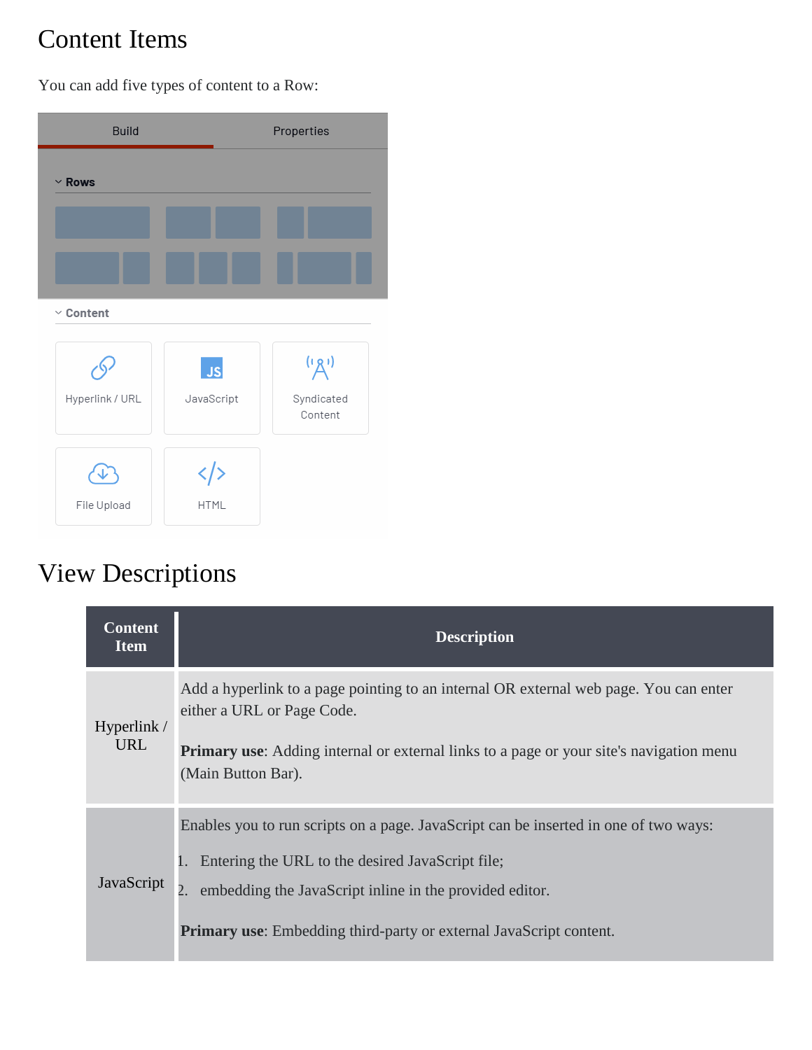## Content Items

You can add five types of content to a Row:

| <b>Build</b>    |             | Properties            |
|-----------------|-------------|-----------------------|
| $~\vee$ Rows    |             |                       |
|                 |             |                       |
|                 |             |                       |
|                 |             |                       |
| $\vee$ Content  |             |                       |
|                 | <b>JS</b>   | ( <sub>'A'</sub> )    |
| Hyperlink / URL | JavaScript  | Syndicated<br>Content |
|                 |             |                       |
|                 |             |                       |
| File Upload     | <b>HTML</b> |                       |

## View Descriptions

| <b>Content</b><br><b>Item</b> | <b>Description</b>                                                                                                                                                                                                                                                               |
|-------------------------------|----------------------------------------------------------------------------------------------------------------------------------------------------------------------------------------------------------------------------------------------------------------------------------|
| Hyperlink /<br><b>URL</b>     | Add a hyperlink to a page pointing to an internal OR external web page. You can enter<br>either a URL or Page Code.<br><b>Primary use:</b> Adding internal or external links to a page or your site's navigation menu<br>(Main Button Bar).                                      |
| JavaScript                    | Enables you to run scripts on a page. JavaScript can be inserted in one of two ways:<br>Entering the URL to the desired JavaScript file;<br>embedding the JavaScript inline in the provided editor.<br><b>Primary use:</b> Embedding third-party or external JavaScript content. |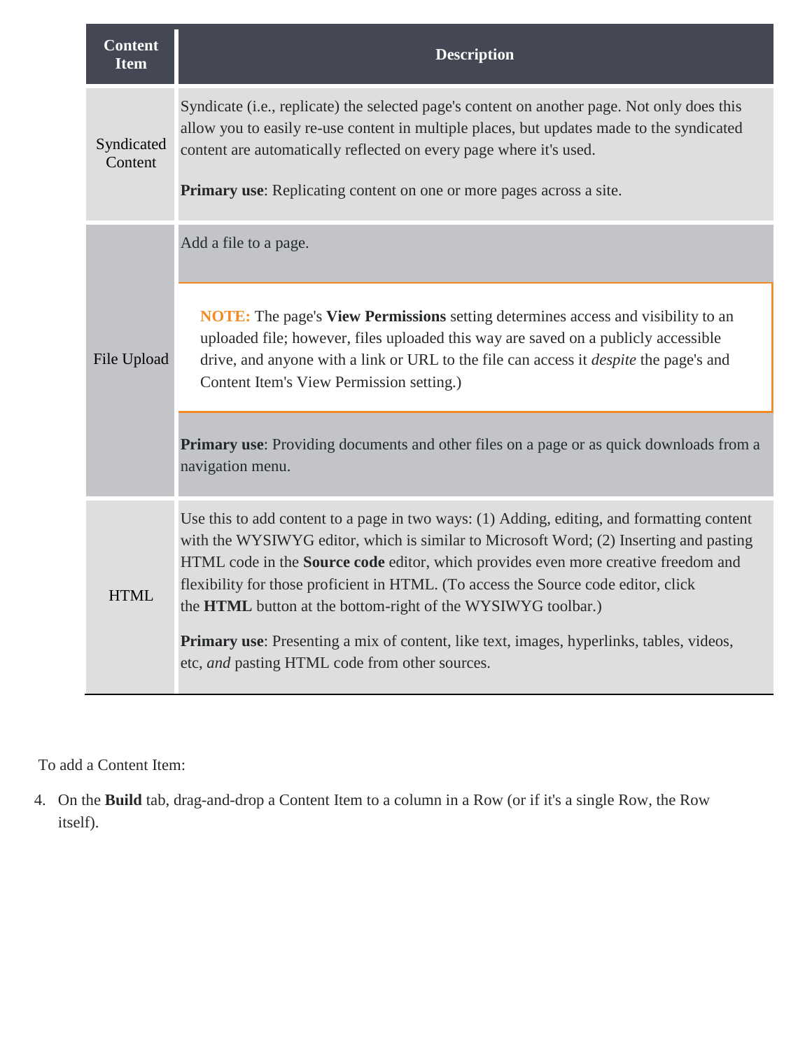| <b>Content</b><br><b>Item</b> | <b>Description</b>                                                                                                                                                                                                                                                                                                                                                                                                               |  |  |
|-------------------------------|----------------------------------------------------------------------------------------------------------------------------------------------------------------------------------------------------------------------------------------------------------------------------------------------------------------------------------------------------------------------------------------------------------------------------------|--|--|
| Syndicated<br>Content         | Syndicate (i.e., replicate) the selected page's content on another page. Not only does this<br>allow you to easily re-use content in multiple places, but updates made to the syndicated<br>content are automatically reflected on every page where it's used.<br><b>Primary use:</b> Replicating content on one or more pages across a site.                                                                                    |  |  |
|                               | Add a file to a page.                                                                                                                                                                                                                                                                                                                                                                                                            |  |  |
| File Upload                   | <b>NOTE:</b> The page's View Permissions setting determines access and visibility to an<br>uploaded file; however, files uploaded this way are saved on a publicly accessible<br>drive, and anyone with a link or URL to the file can access it <i>despite</i> the page's and<br>Content Item's View Permission setting.)                                                                                                        |  |  |
|                               | <b>Primary use:</b> Providing documents and other files on a page or as quick downloads from a<br>navigation menu.                                                                                                                                                                                                                                                                                                               |  |  |
| <b>HTML</b>                   | Use this to add content to a page in two ways: (1) Adding, editing, and formatting content<br>with the WYSIWYG editor, which is similar to Microsoft Word; (2) Inserting and pasting<br>HTML code in the Source code editor, which provides even more creative freedom and<br>flexibility for those proficient in HTML. (To access the Source code editor, click<br>the HTML button at the bottom-right of the WYSIWYG toolbar.) |  |  |
|                               | Primary use: Presenting a mix of content, like text, images, hyperlinks, tables, videos,<br>etc, and pasting HTML code from other sources.                                                                                                                                                                                                                                                                                       |  |  |

To add a Content Item:

4. On the **Build** tab, drag-and-drop a Content Item to a column in a Row (or if it's a single Row, the Row itself).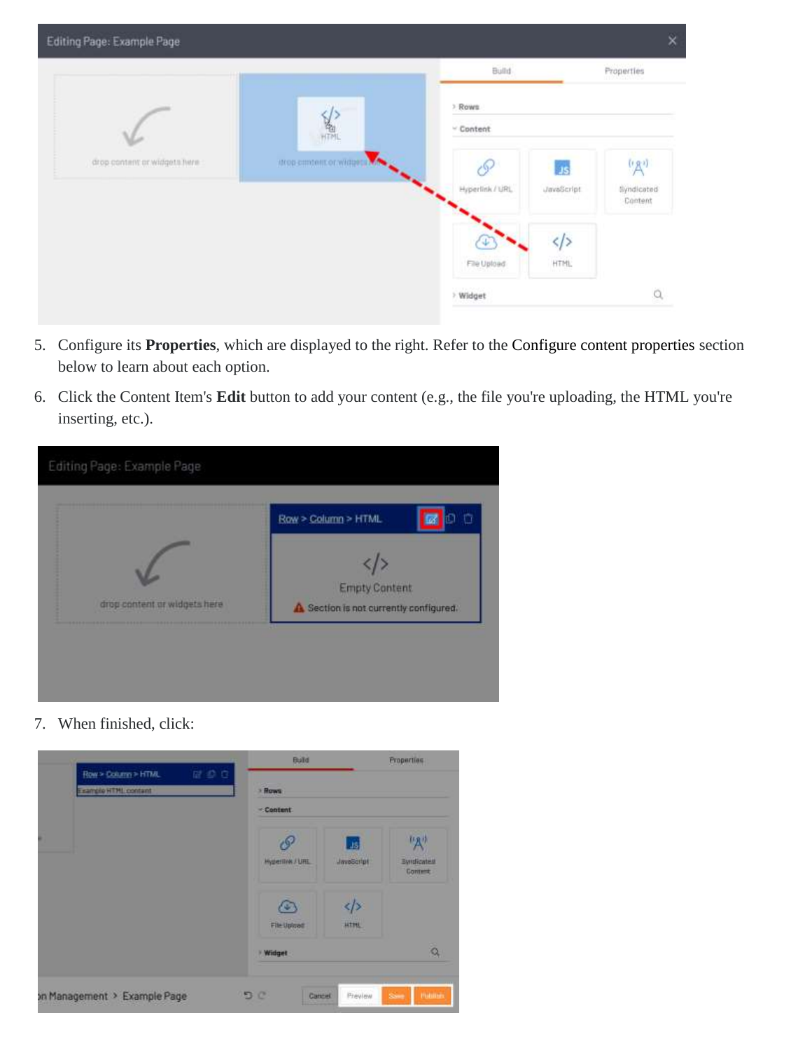

- 5. Configure its **Properties**, which are displayed to the right. Refer to the Configure content properties section below to learn about each option.
- 6. Click the Content Item's **Edit** button to add your content (e.g., the file you're uploading, the HTML you're inserting, etc.).



7. When finished, click:

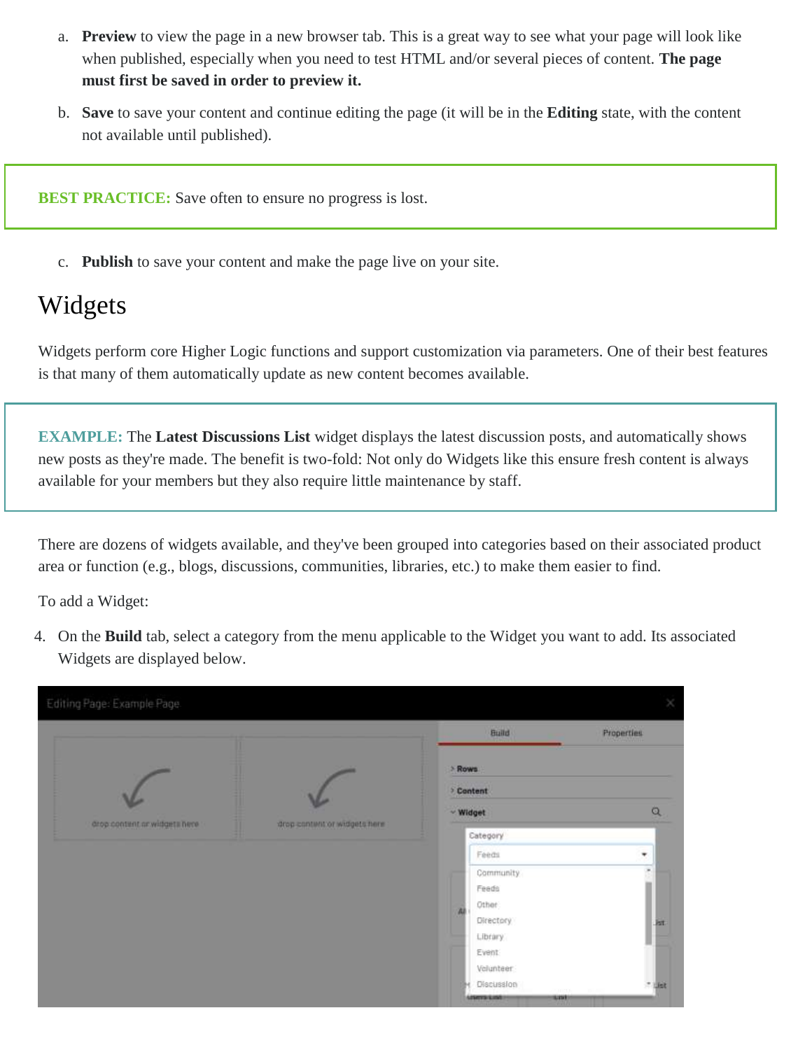- a. **Preview** to view the page in a new browser tab. This is a great way to see what your page will look like when published, especially when you need to test HTML and/or several pieces of content. **The page must first be saved in order to preview it.**
- b. **Save** to save your content and continue editing the page (it will be in the **Editing** state, with the content not available until published).

**BEST PRACTICE:** Save often to ensure no progress is lost.

c. **Publish** to save your content and make the page live on your site.

#### Widgets

Widgets perform core Higher Logic functions and support customization via parameters. One of their best features is that many of them automatically update as new content becomes available.

**EXAMPLE:** The **Latest Discussions List** widget displays the latest discussion posts, and automatically shows new posts as they're made. The benefit is two-fold: Not only do Widgets like this ensure fresh content is always available for your members but they also require little maintenance by staff.

There are dozens of widgets available, and they've been grouped into categories based on their associated product area or function (e.g., blogs, discussions, communities, libraries, etc.) to make them easier to find.

To add a Widget:

4. On the **Build** tab, select a category from the menu applicable to the Widget you want to add. Its associated Widgets are displayed below.

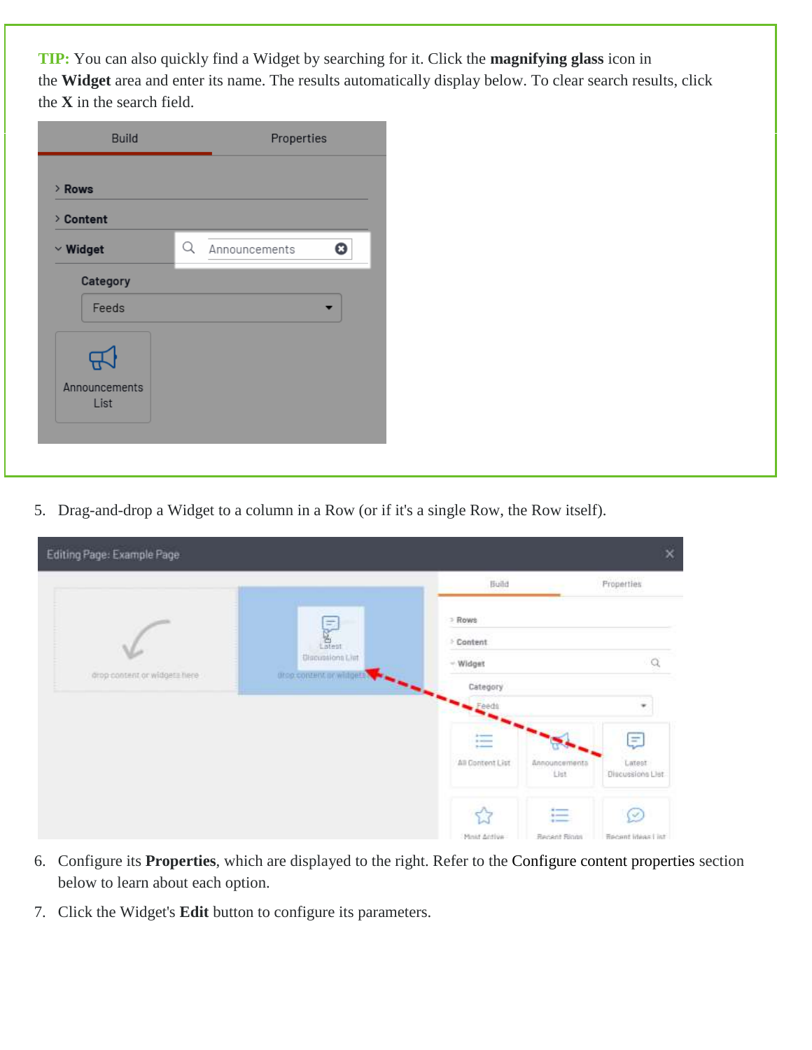**TIP:** You can also quickly find a Widget by searching for it. Click the **magnifying glass** icon in the **Widget** area and enter its name. The results automatically display below. To clear search results, click the **X** in the search field.

| Build               | Properties         |           |
|---------------------|--------------------|-----------|
| > Rows              |                    |           |
| $>$ Content         |                    |           |
| $\vee$ Widget       | Q<br>Announcements | $\bullet$ |
| Category            |                    |           |
| Feeds               |                    | ▼         |
|                     |                    |           |
| ᡃᠳ<br>Announcements |                    |           |
|                     |                    |           |
| List                |                    |           |

5. Drag-and-drop a Widget to a column in a Row (or if it's a single Row, the Row itself).

| Editing Page: Example Page   |                          |                                              |                                                                                    | $\times$                    |
|------------------------------|--------------------------|----------------------------------------------|------------------------------------------------------------------------------------|-----------------------------|
|                              |                          | Build                                        |                                                                                    | Properties                  |
|                              | $=$                      | > Rows                                       |                                                                                    |                             |
|                              | $L_{\rm 31cm1}$          | > Content                                    |                                                                                    |                             |
|                              | <b>Ulsoussions List</b>  | $-Wl$ dget                                   |                                                                                    | Q                           |
| drop content or widgets here | Urop content or wildgets | Category                                     |                                                                                    |                             |
|                              |                          | Feedi                                        |                                                                                    | ٠                           |
|                              |                          | $\overline{ }$<br><b>A minima</b><br>$1 - 1$ |                                                                                    | Ξ                           |
|                              |                          | All Content List                             | Announcements<br>List                                                              | Latest:<br>Discussions List |
|                              |                          | 더<br>Mnst Antive                             | $\overline{\phantom{a}}$<br>$-$<br>$\overline{\phantom{a}}$<br><b>Becent Bionn</b> | C<br>Recent Ideas List      |

- 6. Configure its **Properties**, which are displayed to the right. Refer to the Configure content properties section below to learn about each option.
- 7. Click the Widget's **Edit** button to configure its parameters.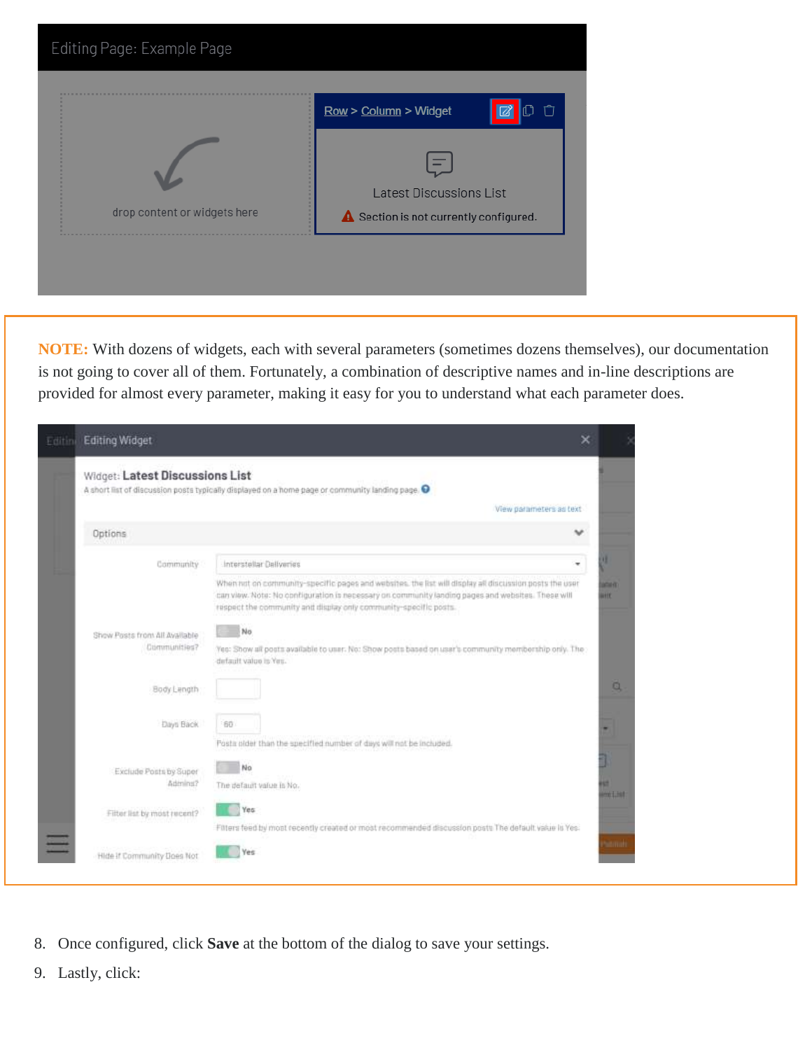|                              | ×.<br>Row > Column > Widget                             |
|------------------------------|---------------------------------------------------------|
|                              |                                                         |
|                              | <b>Latest Discussions List</b><br>۰<br>٠<br>٠<br>٠<br>٠ |
| drop content or widgets here | A Section is not currently configured.<br>٠             |

**NOTE:** With dozens of widgets, each with several parameters (sometimes dozens themselves), our documentation is not going to cover all of them. Fortunately, a combination of descriptive names and in-line descriptions are provided for almost every parameter, making it easy for you to understand what each parameter does.

| Editin | <b>Editing Widget</b>                         | ×                                                                                                                                                                                                                                                                               |                            |
|--------|-----------------------------------------------|---------------------------------------------------------------------------------------------------------------------------------------------------------------------------------------------------------------------------------------------------------------------------------|----------------------------|
|        | Widget: Latest Discussions List               | A short list of discussion posts typically displayed on a home page or community landing page. $\Theta$<br>View parameters as text                                                                                                                                              |                            |
|        | Options                                       |                                                                                                                                                                                                                                                                                 |                            |
|        | Community                                     | Interstellar Dallweries                                                                                                                                                                                                                                                         |                            |
|        |                                               | When not on community-specific pages and websites, the list will display all discussion posts the user<br>can view. Note: No configuration is necessary on community landing pages and websites. These will<br>respect the community and display only community-specific posts. | <b>SCHOL</b><br><b>HIE</b> |
|        | Show Posts from All Available<br>Communities? | No<br>Yes: Show all posts available to user. No: Show posts based on user's community membership only. The<br>default value in Yes.                                                                                                                                             |                            |
|        | Body Length                                   |                                                                                                                                                                                                                                                                                 | a                          |
|        | Days Back                                     | 60<br>Posts older than the specified number of days will not be included.                                                                                                                                                                                                       |                            |
|        | Exclude Posts by Super<br>Adminst?            | No<br>The default value is No.                                                                                                                                                                                                                                                  | <b>HELLINE</b>             |
|        | Filter list by most recent?                   | Yes<br>Filters feed by most recently created or most recommended discussion posts The default value is Yes.                                                                                                                                                                     |                            |
|        | Hide if Community Does Not                    | Yes                                                                                                                                                                                                                                                                             | same                       |

- 8. Once configured, click **Save** at the bottom of the dialog to save your settings.
- 9. Lastly, click: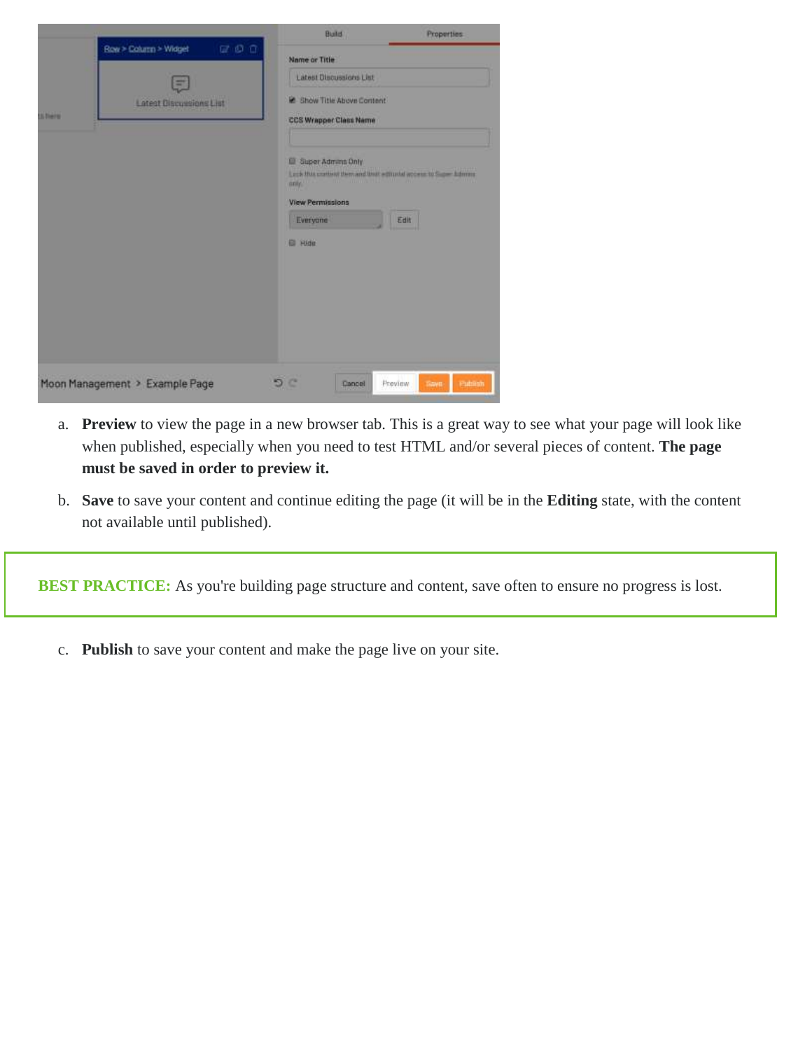|                |                                | Build                                                                                                                                                                | <b>Properties</b>   |
|----------------|--------------------------------|----------------------------------------------------------------------------------------------------------------------------------------------------------------------|---------------------|
|                | 000<br>Row > Column > Wraget   | Name or Title                                                                                                                                                        |                     |
|                | Ξ                              | Latest Discussions List                                                                                                                                              |                     |
|                | Latest Discussions List        | <b>E</b> Show Title Above Content                                                                                                                                    |                     |
| <b>ULTIMAN</b> |                                | <b>CCS Wrapper Class Name</b>                                                                                                                                        |                     |
|                |                                | <b>Ell</b> Super Administ Only<br>Legis Hug continue there and their estimated access to $\mathbb{S}_{\frac{m}{2}-1}$ . Lemma only,<br>mm<br><b>View Permissions</b> |                     |
|                |                                | Everyone                                                                                                                                                             | Edit                |
|                |                                | El Hide                                                                                                                                                              |                     |
|                |                                |                                                                                                                                                                      |                     |
|                |                                |                                                                                                                                                                      |                     |
|                |                                |                                                                                                                                                                      |                     |
|                |                                |                                                                                                                                                                      |                     |
|                |                                |                                                                                                                                                                      |                     |
|                | Moon Management > Example Page | c<br>s<br>Preview<br>Cancel                                                                                                                                          | <b>Save Publish</b> |

- a. **Preview** to view the page in a new browser tab. This is a great way to see what your page will look like when published, especially when you need to test HTML and/or several pieces of content. **The page must be saved in order to preview it.**
- b. **Save** to save your content and continue editing the page (it will be in the **Editing** state, with the content not available until published).

**BEST PRACTICE:** As you're building page structure and content, save often to ensure no progress is lost.

c. **Publish** to save your content and make the page live on your site.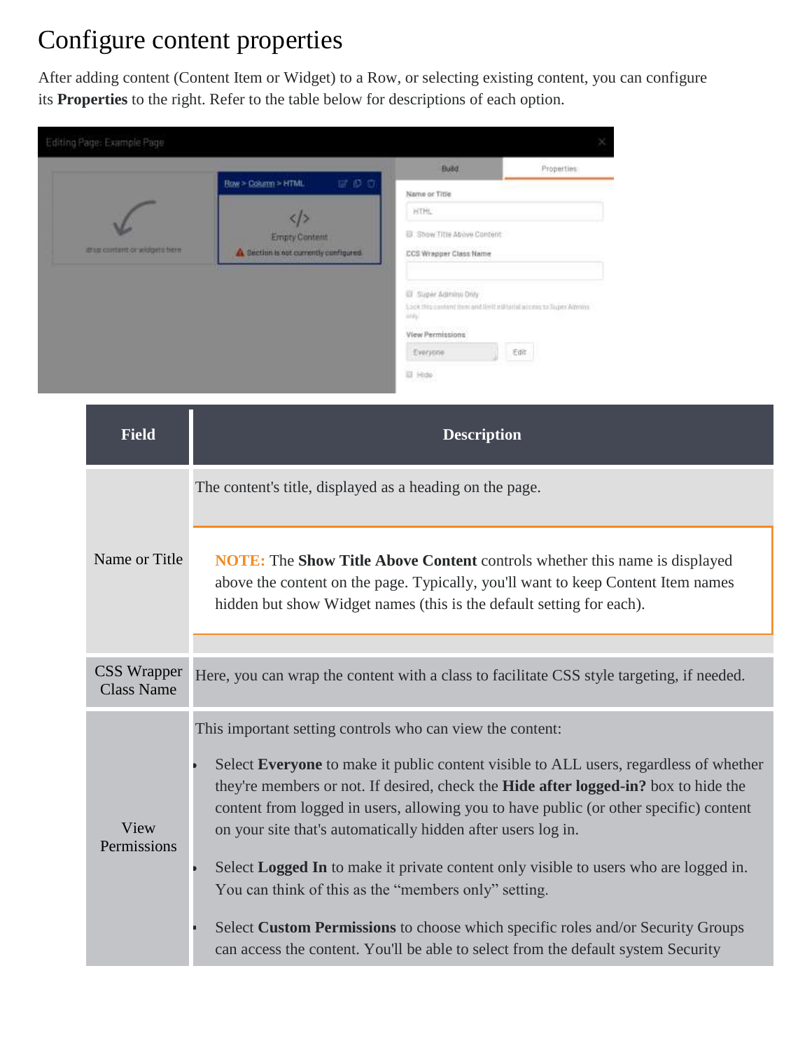## Configure content properties

After adding content (Content Item or Widget) to a Row, or selecting existing content, you can configure its **Properties** to the right. Refer to the table below for descriptions of each option.

|                              |                                        | Build                                                                      | Properties |
|------------------------------|----------------------------------------|----------------------------------------------------------------------------|------------|
|                              | <b>证 0 0</b><br>Row > Column > HTML    | Name or Title                                                              |            |
|                              |                                        | 开口性                                                                        |            |
|                              | <b>Empty Content</b>                   | Show Title Above Content                                                   |            |
| map content or widgets here. | A Section is not currently configured. | CCS Wrapper Class Name                                                     |            |
|                              |                                        |                                                                            |            |
|                              |                                        | Super Admini Drify                                                         |            |
|                              |                                        | Lock this content them and limit editorial access to Super Atmins<br>ints. |            |
|                              |                                        | View Permissions                                                           |            |
|                              |                                        | Everyone                                                                   | Edit       |

| <b>Field</b>                            | <b>Description</b>                                                                                                                                                                                                                                   |
|-----------------------------------------|------------------------------------------------------------------------------------------------------------------------------------------------------------------------------------------------------------------------------------------------------|
| Name or Title                           | The content's title, displayed as a heading on the page.                                                                                                                                                                                             |
|                                         | <b>NOTE:</b> The <b>Show Title Above Content</b> controls whether this name is displayed<br>above the content on the page. Typically, you'll want to keep Content Item names<br>hidden but show Widget names (this is the default setting for each). |
|                                         |                                                                                                                                                                                                                                                      |
| <b>CSS Wrapper</b><br><b>Class Name</b> | Here, you can wrap the content with a class to facilitate CSS style targeting, if needed.                                                                                                                                                            |
| View<br>Permissions                     | This important setting controls who can view the content:<br>Select Everyone to make it public content visible to ALL users, regardless of whether<br>they're members or not. If desired, check the Hide after logged-in? box to hide the            |
|                                         | content from logged in users, allowing you to have public (or other specific) content<br>on your site that's automatically hidden after users log in.                                                                                                |
|                                         | Select Logged In to make it private content only visible to users who are logged in.<br>You can think of this as the "members only" setting.                                                                                                         |
|                                         | Select Custom Permissions to choose which specific roles and/or Security Groups<br>can access the content. You'll be able to select from the default system Security                                                                                 |